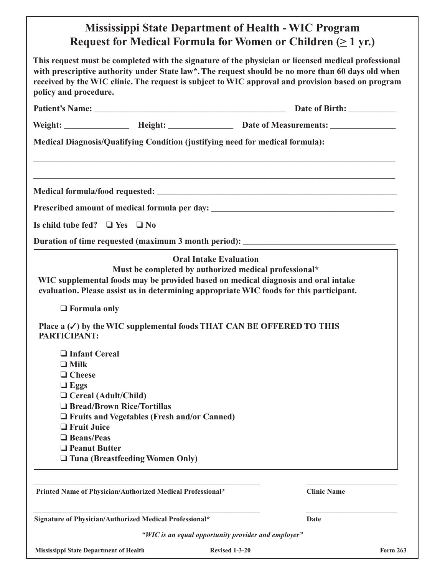## **Mississippi State Department of Health - WIC Program Request for Medical Formula for Women or Children (> 1 yr.)**

| This request must be completed with the signature of the physician or licensed medical professional<br>with prescriptive authority under State law*. The request should be no more than 60 days old when<br>received by the WIC clinic. The request is subject to WIC approval and provision based on program<br>policy and procedure. |                                                                                                                                                                                                                                                                                                                          |  |                                                                                   |
|----------------------------------------------------------------------------------------------------------------------------------------------------------------------------------------------------------------------------------------------------------------------------------------------------------------------------------------|--------------------------------------------------------------------------------------------------------------------------------------------------------------------------------------------------------------------------------------------------------------------------------------------------------------------------|--|-----------------------------------------------------------------------------------|
|                                                                                                                                                                                                                                                                                                                                        |                                                                                                                                                                                                                                                                                                                          |  |                                                                                   |
|                                                                                                                                                                                                                                                                                                                                        |                                                                                                                                                                                                                                                                                                                          |  |                                                                                   |
| Medical Diagnosis/Qualifying Condition (justifying need for medical formula):                                                                                                                                                                                                                                                          |                                                                                                                                                                                                                                                                                                                          |  |                                                                                   |
|                                                                                                                                                                                                                                                                                                                                        |                                                                                                                                                                                                                                                                                                                          |  |                                                                                   |
|                                                                                                                                                                                                                                                                                                                                        |                                                                                                                                                                                                                                                                                                                          |  | Prescribed amount of medical formula per day: ___________________________________ |
| Is child tube fed? $\Box$ Yes $\Box$ No                                                                                                                                                                                                                                                                                                |                                                                                                                                                                                                                                                                                                                          |  |                                                                                   |
|                                                                                                                                                                                                                                                                                                                                        |                                                                                                                                                                                                                                                                                                                          |  | Duration of time requested (maximum 3 month period): ___________________________  |
| $\Box$ Formula only<br>PARTICIPANT:                                                                                                                                                                                                                                                                                                    | Must be completed by authorized medical professional*<br>WIC supplemental foods may be provided based on medical diagnosis and oral intake<br>evaluation. Please assist us in determining appropriate WIC foods for this participant.<br>Place $a(\checkmark)$ by the WIC supplemental foods THAT CAN BE OFFERED TO THIS |  |                                                                                   |
| □ Infant Cereal<br>$\Box$ Milk<br>$\Box$ Cheese<br>$\Box$ Eggs<br>$\Box$ Cereal (Adult/Child)<br>$\Box$ Fruit Juice<br>$\Box$ Beans/Peas<br>$\Box$ Peanut Butter                                                                                                                                                                       | □ Bread/Brown Rice/Tortillas<br>$\Box$ Fruits and Vegetables (Fresh and/or Canned)<br>$\Box$ Tuna (Breastfeeding Women Only)                                                                                                                                                                                             |  |                                                                                   |
|                                                                                                                                                                                                                                                                                                                                        | Printed Name of Physician/Authorized Medical Professional*                                                                                                                                                                                                                                                               |  | <b>Clinic Name</b>                                                                |
|                                                                                                                                                                                                                                                                                                                                        | Signature of Physician/Authorized Medical Professional*                                                                                                                                                                                                                                                                  |  | <b>Date</b>                                                                       |

*"WIC is an equal opportunity provider and employer"*

**Mississippi** State Department of Health **Revised** 1-3-20 **Form** 263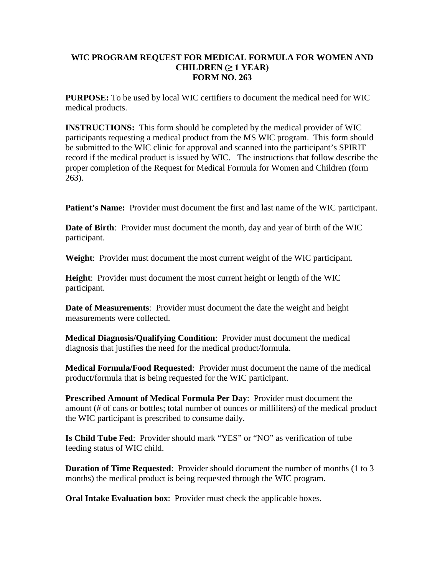## **WIC PROGRAM REQUEST FOR MEDICAL FORMULA FOR WOMEN AND CHILDREN (≥ 1 YEAR) FORM NO. 263**

**PURPOSE:** To be used by local WIC certifiers to document the medical need for WIC medical products.

**INSTRUCTIONS:** This form should be completed by the medical provider of WIC participants requesting a medical product from the MS WIC program. This form should be submitted to the WIC clinic for approval and scanned into the participant's SPIRIT record if the medical product is issued by WIC. The instructions that follow describe the proper completion of the Request for Medical Formula for Women and Children (form 263).

**Patient's Name:** Provider must document the first and last name of the WIC participant.

**Date of Birth**: Provider must document the month, day and year of birth of the WIC participant.

**Weight**: Provider must document the most current weight of the WIC participant.

**Height**: Provider must document the most current height or length of the WIC participant.

**Date of Measurements**: Provider must document the date the weight and height measurements were collected.

**Medical Diagnosis/Qualifying Condition**: Provider must document the medical diagnosis that justifies the need for the medical product/formula.

**Medical Formula/Food Requested**: Provider must document the name of the medical product/formula that is being requested for the WIC participant.

**Prescribed Amount of Medical Formula Per Day**: Provider must document the amount (# of cans or bottles; total number of ounces or milliliters) of the medical product the WIC participant is prescribed to consume daily.

**Is Child Tube Fed**: Provider should mark "YES" or "NO" as verification of tube feeding status of WIC child.

**Duration of Time Requested**: Provider should document the number of months (1 to 3 months) the medical product is being requested through the WIC program.

**Oral Intake Evaluation box:** Provider must check the applicable boxes.